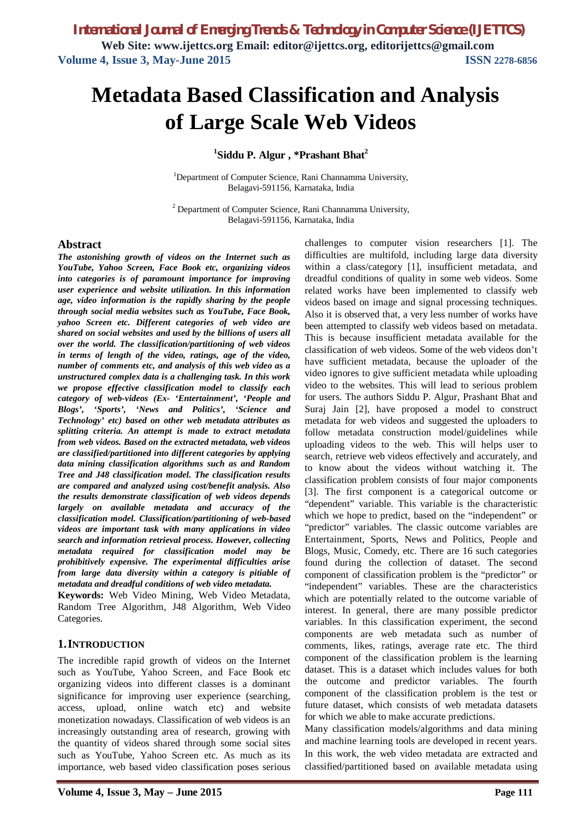# **Metadata Based Classification and Analysis of Large Scale Web Videos**

### **1 Siddu P. Algur , \*Prashant Bhat<sup>2</sup>**

<sup>1</sup>Department of Computer Science, Rani Channamma University, Belagavi-591156, Karnataka, India

<sup>2</sup> Department of Computer Science, Rani Channamma University, Belagavi-591156, Karnataka, India

### **Abstract**

*The astonishing growth of videos on the Internet such as YouTube, Yahoo Screen, Face Book etc, organizing videos into categories is of paramount importance for improving user experience and website utilization. In this information age, video information is the rapidly sharing by the people through social media websites such as YouTube, Face Book, yahoo Screen etc. Different categories of web video are shared on social websites and used by the billions of users all over the world. The classification/partitioning of web videos in terms of length of the video, ratings, age of the video, number of comments etc, and analysis of this web video as a unstructured complex data is a challenging task. In this work we propose effective classification model to classify each category of web-videos (Ex- 'Entertainment', 'People and Blogs', 'Sports', 'News and Politics', 'Science and Technology' etc) based on other web metadata attributes as splitting criteria. An attempt is made to extract metadata from web videos. Based on the extracted metadata, web videos are classified/partitioned into different categories by applying data mining classification algorithms such as and Random Tree and J48 classification model. The classification results are compared and analyzed using cost/benefit analysis. Also the results demonstrate classification of web videos depends largely on available metadata and accuracy of the classification model. Classification/partitioning of web-based videos are important task with many applications in video search and information retrieval process. However, collecting metadata required for classification model may be prohibitively expensive. The experimental difficulties arise from large data diversity within a category is pitiable of metadata and dreadful conditions of web video metadata.* 

**Keywords:** Web Video Mining, Web Video Metadata, Random Tree Algorithm, J48 Algorithm, Web Video Categories.

### **1.INTRODUCTION**

The incredible rapid growth of videos on the Internet such as YouTube, Yahoo Screen, and Face Book etc organizing videos into different classes is a dominant significance for improving user experience (searching, access, upload, online watch etc) and website monetization nowadays. Classification of web videos is an increasingly outstanding area of research, growing with the quantity of videos shared through some social sites such as YouTube, Yahoo Screen etc. As much as its importance, web based video classification poses serious

challenges to computer vision researchers [1]. The difficulties are multifold, including large data diversity within a class/category [1], insufficient metadata, and dreadful conditions of quality in some web videos. Some related works have been implemented to classify web videos based on image and signal processing techniques. Also it is observed that, a very less number of works have been attempted to classify web videos based on metadata. This is because insufficient metadata available for the classification of web videos. Some of the web videos don't have sufficient metadata, because the uploader of the video ignores to give sufficient metadata while uploading video to the websites. This will lead to serious problem for users. The authors Siddu P. Algur, Prashant Bhat and Suraj Jain [2], have proposed a model to construct metadata for web videos and suggested the uploaders to follow metadata construction model/guidelines while uploading videos to the web. This will helps user to search, retrieve web videos effectively and accurately, and to know about the videos without watching it. The classification problem consists of four major components [3]. The first component is a categorical outcome or "dependent" variable. This variable is the characteristic which we hope to predict, based on the "independent" or "predictor" variables. The classic outcome variables are Entertainment, Sports, News and Politics, People and Blogs, Music, Comedy, etc. There are 16 such categories found during the collection of dataset. The second component of classification problem is the "predictor" or "independent" variables. These are the characteristics which are potentially related to the outcome variable of interest. In general, there are many possible predictor variables. In this classification experiment, the second components are web metadata such as number of comments, likes, ratings, average rate etc. The third component of the classification problem is the learning dataset. This is a dataset which includes values for both the outcome and predictor variables. The fourth component of the classification problem is the test or future dataset, which consists of web metadata datasets for which we able to make accurate predictions.

Many classification models/algorithms and data mining and machine learning tools are developed in recent years. In this work, the web video metadata are extracted and classified/partitioned based on available metadata using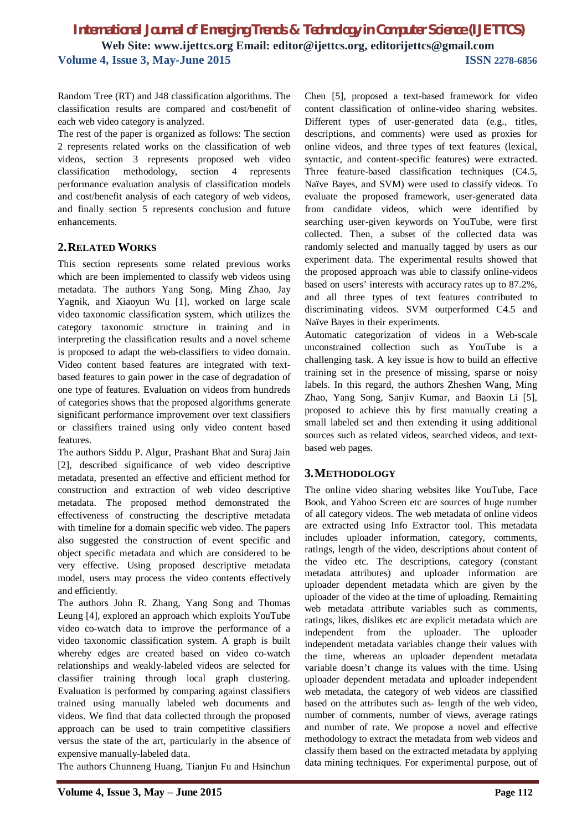Random Tree (RT) and J48 classification algorithms. The classification results are compared and cost/benefit of each web video category is analyzed.

The rest of the paper is organized as follows: The section 2 represents related works on the classification of web videos, section 3 represents proposed web video classification methodology, section 4 represents performance evaluation analysis of classification models and cost/benefit analysis of each category of web videos, and finally section 5 represents conclusion and future enhancements.

### **2.RELATED WORKS**

This section represents some related previous works which are been implemented to classify web videos using metadata. The authors Yang Song, Ming Zhao, Jay Yagnik, and Xiaoyun Wu [1], worked on large scale video taxonomic classification system, which utilizes the category taxonomic structure in training and in interpreting the classification results and a novel scheme is proposed to adapt the web-classifiers to video domain. Video content based features are integrated with textbased features to gain power in the case of degradation of one type of features. Evaluation on videos from hundreds of categories shows that the proposed algorithms generate significant performance improvement over text classifiers or classifiers trained using only video content based features.

The authors Siddu P. Algur, Prashant Bhat and Suraj Jain [2], described significance of web video descriptive metadata, presented an effective and efficient method for construction and extraction of web video descriptive metadata. The proposed method demonstrated the effectiveness of constructing the descriptive metadata with timeline for a domain specific web video. The papers also suggested the construction of event specific and object specific metadata and which are considered to be very effective. Using proposed descriptive metadata model, users may process the video contents effectively and efficiently.

The authors John R. Zhang, Yang Song and Thomas Leung [4], explored an approach which exploits YouTube video co-watch data to improve the performance of a video taxonomic classification system. A graph is built whereby edges are created based on video co-watch relationships and weakly-labeled videos are selected for classifier training through local graph clustering. Evaluation is performed by comparing against classifiers trained using manually labeled web documents and videos. We find that data collected through the proposed approach can be used to train competitive classifiers versus the state of the art, particularly in the absence of expensive manually-labeled data.

The authors Chunneng Huang, Tianjun Fu and Hsinchun

Chen [5], proposed a text-based framework for video content classification of online-video sharing websites. Different types of user-generated data (e.g., titles, descriptions, and comments) were used as proxies for online videos, and three types of text features (lexical, syntactic, and content-specific features) were extracted. Three feature-based classification techniques (C4.5, Naïve Bayes, and SVM) were used to classify videos. To evaluate the proposed framework, user-generated data from candidate videos, which were identified by searching user-given keywords on YouTube, were first collected. Then, a subset of the collected data was randomly selected and manually tagged by users as our experiment data. The experimental results showed that the proposed approach was able to classify online-videos based on users' interests with accuracy rates up to 87.2%, and all three types of text features contributed to discriminating videos. SVM outperformed C4.5 and Naïve Bayes in their experiments.

Automatic categorization of videos in a Web-scale unconstrained collection such as YouTube is a challenging task. A key issue is how to build an effective training set in the presence of missing, sparse or noisy labels. In this regard, the authors Zheshen Wang, Ming Zhao, Yang Song, Sanjiv Kumar, and Baoxin Li [5], proposed to achieve this by first manually creating a small labeled set and then extending it using additional sources such as related videos, searched videos, and textbased web pages.

### **3.METHODOLOGY**

The online video sharing websites like YouTube, Face Book, and Yahoo Screen etc are sources of huge number of all category videos. The web metadata of online videos are extracted using Info Extractor tool. This metadata includes uploader information, category, comments, ratings, length of the video, descriptions about content of the video etc. The descriptions, category (constant metadata attributes) and uploader information are uploader dependent metadata which are given by the uploader of the video at the time of uploading. Remaining web metadata attribute variables such as comments, ratings, likes, dislikes etc are explicit metadata which are independent from the uploader. The uploader independent metadata variables change their values with the time, whereas an uploader dependent metadata variable doesn't change its values with the time. Using uploader dependent metadata and uploader independent web metadata, the category of web videos are classified based on the attributes such as- length of the web video, number of comments, number of views, average ratings and number of rate. We propose a novel and effective methodology to extract the metadata from web videos and classify them based on the extracted metadata by applying data mining techniques. For experimental purpose, out of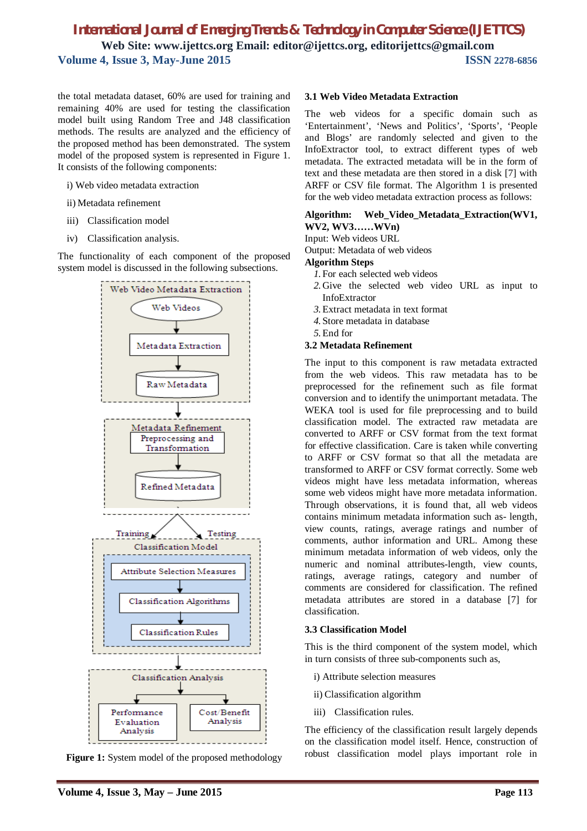the total metadata dataset, 60% are used for training and remaining 40% are used for testing the classification model built using Random Tree and J48 classification methods. The results are analyzed and the efficiency of the proposed method has been demonstrated. The system model of the proposed system is represented in Figure 1. It consists of the following components:

- i) Web video metadata extraction
- ii) Metadata refinement
- iii) Classification model
- iv) Classification analysis.

The functionality of each component of the proposed system model is discussed in the following subsections.



**Figure 1:** System model of the proposed methodology

### **3.1 Web Video Metadata Extraction**

The web videos for a specific domain such as 'Entertainment', 'News and Politics', 'Sports', 'People and Blogs' are randomly selected and given to the InfoExtractor tool, to extract different types of web metadata. The extracted metadata will be in the form of text and these metadata are then stored in a disk [7] with ARFF or CSV file format. The Algorithm 1 is presented for the web video metadata extraction process as follows:

### **Algorithm: Web\_Video\_Metadata\_Extraction(WV1, WV2, WV3……WVn)**

Input: Web videos URL

Output: Metadata of web videos

### **Algorithm Steps**

- *1.*For each selected web videos
- *2.*Give the selected web video URL as input to InfoExtractor
- *3.*Extract metadata in text format
- *4.*Store metadata in database
- *5.*End for

### **3.2 Metadata Refinement**

The input to this component is raw metadata extracted from the web videos. This raw metadata has to be preprocessed for the refinement such as file format conversion and to identify the unimportant metadata. The WEKA tool is used for file preprocessing and to build classification model. The extracted raw metadata are converted to ARFF or CSV format from the text format for effective classification. Care is taken while converting to ARFF or CSV format so that all the metadata are transformed to ARFF or CSV format correctly. Some web videos might have less metadata information, whereas some web videos might have more metadata information. Through observations, it is found that, all web videos contains minimum metadata information such as- length, view counts, ratings, average ratings and number of comments, author information and URL. Among these minimum metadata information of web videos, only the numeric and nominal attributes-length, view counts, ratings, average ratings, category and number of comments are considered for classification. The refined metadata attributes are stored in a database [7] for classification.

### **3.3 Classification Model**

This is the third component of the system model, which in turn consists of three sub-components such as,

- i) Attribute selection measures
- ii) Classification algorithm
- iii) Classification rules.

The efficiency of the classification result largely depends on the classification model itself. Hence, construction of robust classification model plays important role in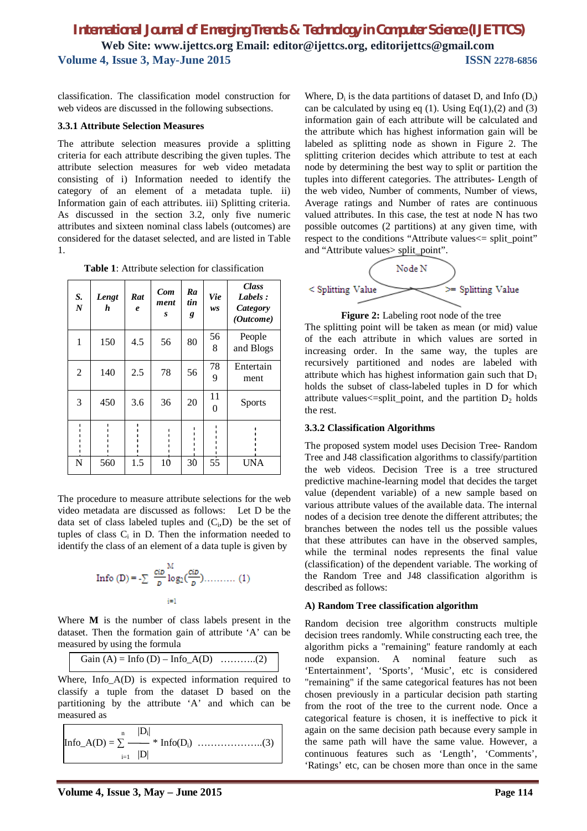classification. The classification model construction for web videos are discussed in the following subsections.

### **3.3.1 Attribute Selection Measures**

The attribute selection measures provide a splitting criteria for each attribute describing the given tuples. The attribute selection measures for web video metadata consisting of i) Information needed to identify the category of an element of a metadata tuple. ii) Information gain of each attributes. iii) Splitting criteria. As discussed in the section 3.2, only five numeric attributes and sixteen nominal class labels (outcomes) are considered for the dataset selected, and are listed in Table 1.

**Table 1**: Attribute selection for classification

| S.<br>$\overline{N}$ | Lengt<br>h | Rat<br>$\boldsymbol{e}$ | Com<br>ment<br>S | Ra<br>tin<br>g | <b>Vie</b><br>ws | <b>Class</b><br>Labels:<br>Category<br>(Outcome) |
|----------------------|------------|-------------------------|------------------|----------------|------------------|--------------------------------------------------|
| 1                    | 150        | 4.5                     | 56               | 80             | 56<br>8          | People<br>and Blogs                              |
| $\overline{2}$       | 140        | 2.5                     | 78               | 56             | 78<br>9          | Entertain<br>ment                                |
| 3                    | 450        | 3.6                     | 36               | 20             | 11<br>$\theta$   | <b>Sports</b>                                    |
|                      |            |                         |                  |                |                  |                                                  |
| N                    | 560        | 1.5                     | 10               | 30             | 55               | <b>UNA</b>                                       |

The procedure to measure attribute selections for the web video metadata are discussed as follows: Let D be the data set of class labeled tuples and  $(C_i, D)$  be the set of tuples of class  $C_i$  in D. Then the information needed to identify the class of an element of a data tuple is given by

Info (D) = 
$$
-\sum_{p} \frac{c_{i}b}{b} \log_2(\frac{c_{i}b}{b}) \dots \dots \dots (1)
$$

Where **M** is the number of class labels present in the dataset. Then the formation gain of attribute 'A' can be measured by using the formula

Gain (A) = Info (D) – Info\_A(D) ………..(2)

Where, Info\_A(D) is expected information required to classify a tuple from the dataset D based on the partitioning by the attribute 'A' and which can be measured as

$$
Info_A(D) = \sum_{i=1}^{n} \frac{|D_i|}{|D|} * Info(D_i) \dots (3)
$$

Where,  $D_i$  is the data partitions of dataset D, and Info  $(D_i)$ can be calculated by using eq (1). Using Eq(1),(2) and (3) information gain of each attribute will be calculated and the attribute which has highest information gain will be labeled as splitting node as shown in Figure 2. The splitting criterion decides which attribute to test at each node by determining the best way to split or partition the tuples into different categories. The attributes- Length of the web video, Number of comments, Number of views, Average ratings and Number of rates are continuous valued attributes. In this case, the test at node N has two possible outcomes (2 partitions) at any given time, with respect to the conditions "Attribute values<= split\_point" and "Attribute values> split\_point".



**Figure 2:** Labeling root node of the tree

The splitting point will be taken as mean (or mid) value of the each attribute in which values are sorted in increasing order. In the same way, the tuples are recursively partitioned and nodes are labeled with attribute which has highest information gain such that  $D_1$ holds the subset of class-labeled tuples in D for which attribute values $\leq$ =split\_point, and the partition  $D_2$  holds the rest.

#### **3.3.2 Classification Algorithms**

The proposed system model uses Decision Tree- Random Tree and J48 classification algorithms to classify/partition the web videos. Decision Tree is a tree structured predictive machine-learning model that decides the target value (dependent variable) of a new sample based on various attribute values of the available data. The internal nodes of a decision tree denote the different attributes; the branches between the nodes tell us the possible values that these attributes can have in the observed samples, while the terminal nodes represents the final value (classification) of the dependent variable. The working of the Random Tree and J48 classification algorithm is described as follows:

#### **A) Random Tree classification algorithm**

Random decision tree algorithm constructs multiple decision trees randomly. While constructing each tree, the algorithm picks a "remaining" feature randomly at each node expansion. A nominal feature such as 'Entertainment', 'Sports', 'Music', etc is considered "remaining" if the same categorical features has not been chosen previously in a particular decision path starting from the root of the tree to the current node. Once a categorical feature is chosen, it is ineffective to pick it again on the same decision path because every sample in the same path will have the same value. However, a continuous features such as 'Length', 'Comments', 'Ratings' etc, can be chosen more than once in the same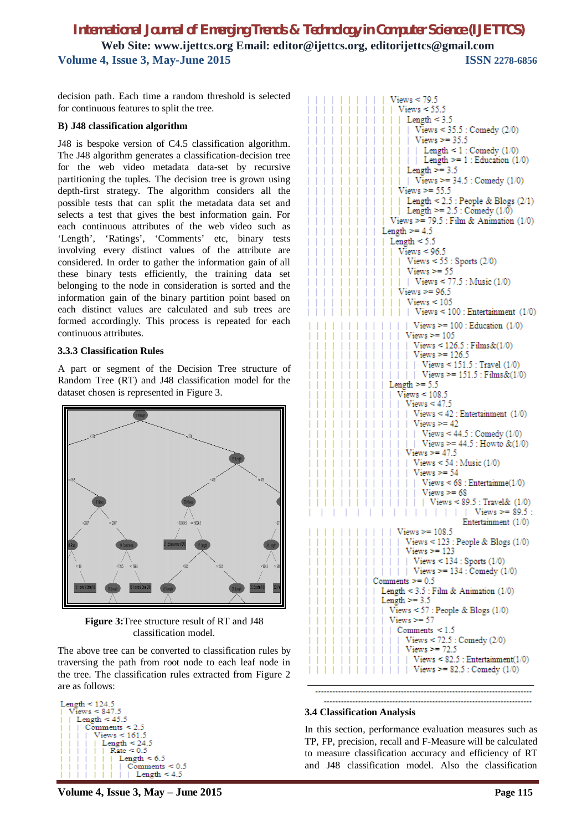decision path. Each time a random threshold is selected for continuous features to split the tree.

#### **B) J48 classification algorithm**

J48 is bespoke version of C4.5 classification algorithm. The J48 algorithm generates a classification-decision tree for the web video metadata data-set by recursive partitioning the tuples. The decision tree is grown using depth-first strategy. The algorithm considers all the possible tests that can split the metadata data set and selects a test that gives the best information gain. For each continuous attributes of the web video such as 'Length', 'Ratings', 'Comments' etc, binary tests involving every distinct values of the attribute are considered. In order to gather the information gain of all these binary tests efficiently, the training data set belonging to the node in consideration is sorted and the information gain of the binary partition point based on each distinct values are calculated and sub trees are formed accordingly. This process is repeated for each continuous attributes.

#### **3.3.3 Classification Rules**

A part or segment of the Decision Tree structure of Random Tree (RT) and J48 classification model for the dataset chosen is represented in Figure 3.



**Figure 3:**Tree structure result of RT and J48 classification model.

The above tree can be converted to classification rules by traversing the path from root node to each leaf node in the tree. The classification rules extracted from Figure 2 are as follows:

```
Length \leq 124.5Views < 847.5
Length < 45.5Comments \leq 2.5<br>| Views \leq 161.5Length \leq 24.5
           Rate < 0.5Length < 6.5Comments < 0.5Length \leq 4.5
```


#### **3.4 Classification Analysis**

In this section, performance evaluation measures such as TP, FP, precision, recall and F-Measure will be calculated to measure classification accuracy and efficiency of RT and J48 classification model. Also the classification

**Volume 4, Issue 3, May – June 2015 Page 115**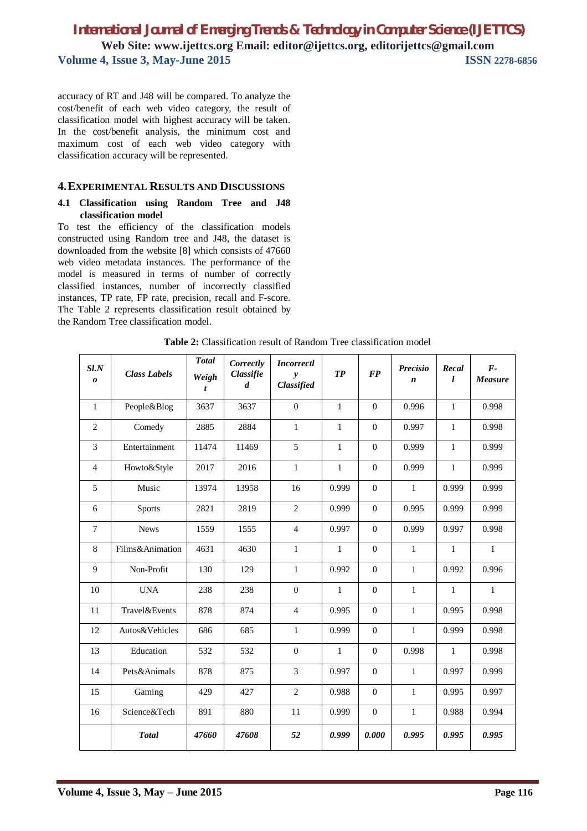accuracy of RT and J48 will be compared. To analyze the cost/benefit of each web video category, the result of classification model with highest accuracy will be taken. In the cost/benefit analysis, the minimum cost and maximum cost of each web video category with classification accuracy will be represented.

### **4.EXPERIMENTAL RESULTS AND DISCUSSIONS**

#### **4.1 Classification using Random Tree and J48 classification model**

To test the efficiency of the classification models constructed using Random tree and J48, the dataset is downloaded from the website [8] which consists of 47660 web video metadata instances. The performance of the model is measured in terms of number of correctly classified instances, number of incorrectly classified instances, TP rate, FP rate, precision, recall and F-score. The Table 2 represents classification result obtained by the Random Tree classification model.

| $S\mathit{l}$ . $N$<br>$\boldsymbol{\theta}$ | <b>Class Labels</b>   | <b>Total</b><br>Weigh<br>t | Correctly<br>Classifie<br>$\boldsymbol{d}$ | <b>Incorrectl</b><br>$\mathbf{v}$<br>Classified | TP           | <b>FP</b>      | <b>Precisio</b><br>n | Recal<br>L   | $F -$<br>Measure |
|----------------------------------------------|-----------------------|----------------------------|--------------------------------------------|-------------------------------------------------|--------------|----------------|----------------------|--------------|------------------|
| $\mathbf{1}$                                 | People&Blog           | 3637                       | 3637                                       | $\mathbf{0}$                                    | $\mathbf{1}$ | $\mathbf{0}$   | 0.996                | $\mathbf{1}$ | 0.998            |
| $\overline{2}$                               | Comedy                | 2885                       | 2884                                       | $\mathbf{1}$                                    | $\mathbf{1}$ | $\Omega$       | 0.997                | $\mathbf{1}$ | 0.998            |
| 3                                            | Entertainment         | 11474                      | 11469                                      | 5                                               | $\mathbf{1}$ | $\mathbf{0}$   | 0.999                | $\mathbf{1}$ | 0.999            |
| $\overline{4}$                               | Howto&Style           | 2017                       | 2016                                       | $\mathbf{1}$                                    | $\mathbf{1}$ | $\overline{0}$ | 0.999                | $\mathbf{1}$ | 0.999            |
| 5                                            | Music                 | 13974                      | 13958                                      | 16                                              | 0.999        | $\mathbf{0}$   | $\mathbf{1}$         | 0.999        | 0.999            |
| 6                                            | <b>Sports</b>         | 2821                       | 2819                                       | $\overline{2}$                                  | 0.999        | $\mathbf{0}$   | 0.995                | 0.999        | 0.999            |
| $\tau$                                       | <b>News</b>           | 1559                       | 1555                                       | $\overline{4}$                                  | 0.997        | $\Omega$       | 0.999                | 0.997        | 0.998            |
| 8                                            | Films&Animation       | 4631                       | 4630                                       | $\mathbf{1}$                                    | $\mathbf{1}$ | $\Omega$       | $\mathbf{1}$         | $\mathbf{1}$ | $\mathbf{1}$     |
| 9                                            | Non-Profit            | 130                        | 129                                        | $\mathbf{1}$                                    | 0.992        | $\Omega$       | $\mathbf{1}$         | 0.992        | 0.996            |
| 10                                           | <b>UNA</b>            | 238                        | 238                                        | $\Omega$                                        | $\mathbf{1}$ | $\Omega$       | $\mathbf{1}$         | $\mathbf{1}$ | $\mathbf{1}$     |
| 11                                           | <b>Travel</b> &Events | 878                        | 874                                        | $\overline{4}$                                  | 0.995        | $\Omega$       | $\mathbf{1}$         | 0.995        | 0.998            |
| 12                                           | Autos&Vehicles        | 686                        | 685                                        | $\mathbf{1}$                                    | 0.999        | $\overline{0}$ | $\mathbf{1}$         | 0.999        | 0.998            |
| 13                                           | Education             | 532                        | 532                                        | $\overline{0}$                                  | $\mathbf{1}$ | $\mathbf{0}$   | 0.998                | $\mathbf{1}$ | 0.998            |
| 14                                           | Pets&Animals          | 878                        | 875                                        | 3                                               | 0.997        | $\overline{0}$ | $\mathbf{1}$         | 0.997        | 0.999            |
| 15                                           | Gaming                | 429                        | 427                                        | $\overline{2}$                                  | 0.988        | $\overline{0}$ | $\mathbf{1}$         | 0.995        | 0.997            |
| 16                                           | Science&Tech          | 891                        | 880                                        | 11                                              | 0.999        | $\mathbf{0}$   | $\mathbf{1}$         | 0.988        | 0.994            |
|                                              | <b>Total</b>          | 47660                      | 47608                                      | 52                                              | 0.999        | 0.000          | 0.995                | 0.995        | 0.995            |

**Table 2:** Classification result of Random Tree classification model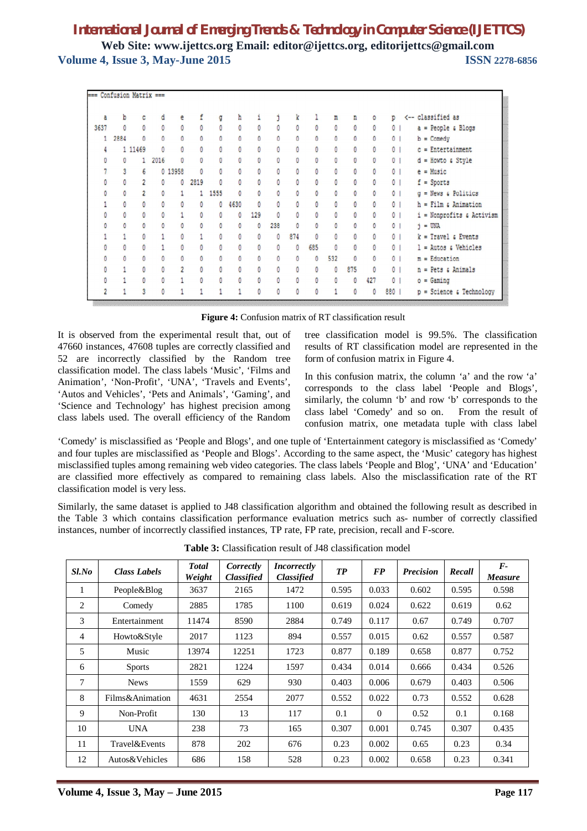|      | === Confusion Matrix === |                |      |          |      |      |      |     |                |              |                      |              |              |     |                |                                |
|------|--------------------------|----------------|------|----------|------|------|------|-----|----------------|--------------|----------------------|--------------|--------------|-----|----------------|--------------------------------|
|      |                          |                |      |          |      |      |      |     |                |              |                      |              |              |     |                |                                |
| a    | b                        |                | đ    |          |      | ã    | h    |     |                | k            |                      | m            | n            | ٥   | p              | <-- classified as              |
| 3637 | 0                        | 0              | Ō    | 0        | 0    |      | ٥    | ٥   | 0              | 0            | 0                    | 0            | $\mathbf{0}$ |     | 0              | $a = People & Blogs$           |
|      | 2884<br>$\mathbf{1}$     |                | n    | $\theta$ | n    |      |      | n   | n              | Ō            | $\theta$             | $\mathbf{0}$ |              |     | $\mathbf{0}$   | $b =$ Comedy                   |
|      | 4                        | 1 11469        |      | Ō        | Ō    | ñ    |      | Ō   | 0              | Ō            | $\ddot{\phantom{0}}$ | Ō            | n            |     | $\mathbf{0}$   | $c =$ Entertainment            |
| O    | $\mathbf{0}$             |                | 2016 | 0        | ñ    | n    | ñ    | Ō   | $\overline{0}$ | $\mathbf{0}$ | $\mathbf{0}$         | 0            | ñ            |     | $\overline{0}$ | $d =$ Howto a Style            |
|      | 3                        | 6              |      | 0 13958  | n    |      |      | ٥   | Ō              | ň            | $\mathbf{0}$         | n            | n            |     | 0 <sup>1</sup> | $e = Music$                    |
|      | $\theta$                 | $\overline{c}$ | 0    | 0        | 2819 |      |      | 0   | $\mathbf{0}$   | 0            | $\theta$             | 0            | 0            |     | $\mathbf{0}$   | $f =$ Sports                   |
|      | 0                        | $\overline{2}$ | ٥    |          |      | 1555 | Ō    | ٥   | 0              | n            | Ō                    | 0            | 0            |     | $^{\circ}$     | $q$ = News $\epsilon$ Politics |
|      | 0                        | n              |      |          | ٥    | ٥    | 4630 | ٥   | 0              | Ō            | $\mathbf{0}$         | 0            | n            |     | $\mathbf{0}$   | $h =$ Film $s$ Animation       |
|      | 0                        | 0              |      |          |      |      | ٥    | 129 | 0              | ٥            | 0                    | ٥            | 0            |     | $\circ$        | i = Nonprofits & Activism      |
|      | 0                        | 0              | ٥    | 0        | ٥    | Ō    | ٥    | ٥   | 238            | n            | $\ddot{\phantom{0}}$ | $\mathbf{0}$ | $\mathbf{0}$ | n   | $\circ$        | $j = UNA$                      |
|      |                          | n              |      | 0        |      | n    | ٥    | ٥   | 0              | 874          | $\mathbf{0}$         | $\mathbf{0}$ | ٥            | n   | $\mathbf{0}$   | $k = Travel$ & Events          |
|      | 0                        | 0              |      | ٥        | n    | n    | n    | 0   | $\Omega$       | 0            | 685                  | $\mathbf{0}$ | n            | O   | $\mathbf{0}$   | $l =$ Autos $s$ Vehicles       |
|      | $\theta$                 | n              | n    | Ō        | n    | n    | n    | 0   | $\mathbf{0}$   | n            | $\mathbf{0}$         | 532          | $\theta$     | n   | 0 <sup>1</sup> | $m = Education$                |
|      |                          | 0              |      |          | ٥    | Λ    |      | 0   | $\mathbf{0}$   | 0            | $\mathbf{0}$         | 0            | 875          | 0   | $\overline{0}$ | $n = Pets$ & Animals           |
|      |                          | ٥              |      |          | 0    | ٥    | ٥    | 0   | 0              | 0            | 0                    | 0            | 0            | 427 | $\mathbf{0}$   | $o =$ Gaming                   |
|      |                          |                |      |          |      |      |      |     |                |              |                      |              |              | ٥   | 880            | $p =$ Science & Technology     |

**Figure 4:** Confusion matrix of RT classification result

It is observed from the experimental result that, out of 47660 instances, 47608 tuples are correctly classified and 52 are incorrectly classified by the Random tree classification model. The class labels 'Music', 'Films and Animation', 'Non-Profit', 'UNA', 'Travels and Events', 'Autos and Vehicles', 'Pets and Animals', 'Gaming', and 'Science and Technology' has highest precision among class labels used. The overall efficiency of the Random tree classification model is 99.5%. The classification results of RT classification model are represented in the form of confusion matrix in Figure 4.

In this confusion matrix, the column 'a' and the row 'a' corresponds to the class label 'People and Blogs', similarly, the column 'b' and row 'b' corresponds to the class label 'Comedy' and so on. From the result of confusion matrix, one metadata tuple with class label

'Comedy' is misclassified as 'People and Blogs', and one tuple of 'Entertainment category is misclassified as 'Comedy' and four tuples are misclassified as 'People and Blogs'. According to the same aspect, the 'Music' category has highest misclassified tuples among remaining web video categories. The class labels 'People and Blog', 'UNA' and 'Education' are classified more effectively as compared to remaining class labels. Also the misclassification rate of the RT classification model is very less.

Similarly, the same dataset is applied to J48 classification algorithm and obtained the following result as described in the Table 3 which contains classification performance evaluation metrics such as- number of correctly classified instances, number of incorrectly classified instances, TP rate, FP rate, precision, recall and F-score.

| $Sl$ .No       | <b>Class Labels</b> | <b>Total</b><br>Weight | Correctly<br><b>Classified</b> | <i>Incorrectly</i><br><b>Classified</b> | TP    | <b>FP</b> | <b>Precision</b> | Recall | $\bm{F}$<br><b>Measure</b> |
|----------------|---------------------|------------------------|--------------------------------|-----------------------------------------|-------|-----------|------------------|--------|----------------------------|
| 1              | People&Blog         | 3637                   | 2165                           | 1472                                    | 0.595 | 0.033     | 0.602            | 0.595  | 0.598                      |
| 2              | Comedy              | 2885                   | 1785                           | 1100                                    | 0.619 | 0.024     | 0.622            | 0.619  | 0.62                       |
| 3              | Entertainment       | 11474                  | 8590                           | 2884                                    | 0.749 | 0.117     | 0.67             | 0.749  | 0.707                      |
| $\overline{4}$ | Howto&Style         | 2017                   | 1123                           | 894                                     | 0.557 | 0.015     | 0.62             | 0.557  | 0.587                      |
| 5              | Music               | 13974                  | 12251                          | 1723                                    | 0.877 | 0.189     | 0.658            | 0.877  | 0.752                      |
| 6              | <b>Sports</b>       | 2821                   | 1224                           | 1597                                    | 0.434 | 0.014     | 0.666            | 0.434  | 0.526                      |
| 7              | <b>News</b>         | 1559                   | 629                            | 930                                     | 0.403 | 0.006     | 0.679            | 0.403  | 0.506                      |
| 8              | Films&Animation     | 4631                   | 2554                           | 2077                                    | 0.552 | 0.022     | 0.73             | 0.552  | 0.628                      |
| 9              | Non-Profit          | 130                    | 13                             | 117                                     | 0.1   | $\theta$  | 0.52             | 0.1    | 0.168                      |
| 10             | UNA                 | 238                    | 73                             | 165                                     | 0.307 | 0.001     | 0.745            | 0.307  | 0.435                      |
| 11             | Travel&Events       | 878                    | 202                            | 676                                     | 0.23  | 0.002     | 0.65             | 0.23   | 0.34                       |
| 12             | Autos&Vehicles      | 686                    | 158                            | 528                                     | 0.23  | 0.002     | 0.658            | 0.23   | 0.341                      |

**Table 3:** Classification result of J48 classification model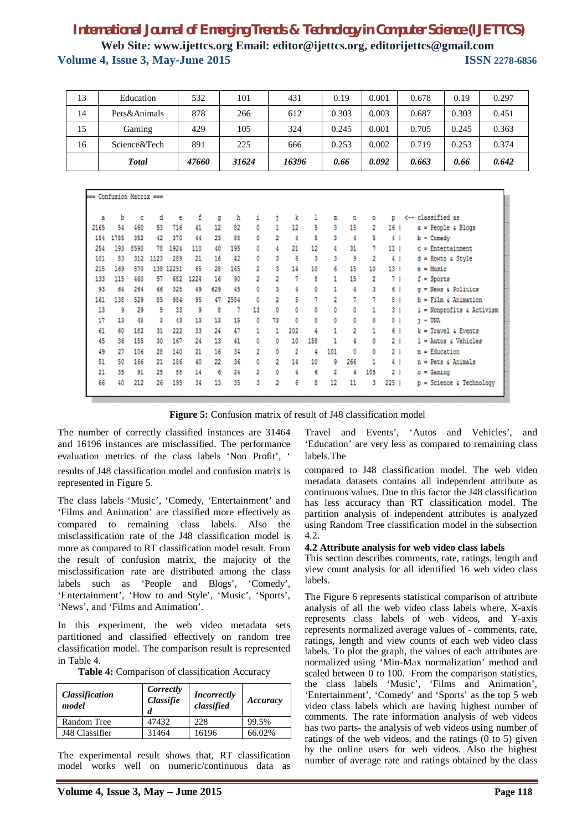| 13 | Education    | 532   | 101   | 431   | 0.19  | 0.001 | 0.678 | 0.19  | 0.297 |
|----|--------------|-------|-------|-------|-------|-------|-------|-------|-------|
| 14 | Pets&Animals | 878   | 266   | 612   | 0.303 | 0.003 | 0.687 | 0.303 | 0.451 |
| 15 | Gaming       | 429   | 105   | 324   | 0.245 | 0.001 | 0.705 | 0.245 | 0.363 |
| 16 | Science&Tech | 891   | 225   | 666   | 0.253 | 0.002 | 0.719 | 0.253 | 0.374 |
|    | <b>Total</b> | 47660 | 31624 | 16396 | 0.66  | 0.092 | 0.663 | 0.66  | 0.642 |

| === Confusion Matrix === |      |      |      |       |      |     |      |                |                |                |     |                |                |                |                 |                                         |
|--------------------------|------|------|------|-------|------|-----|------|----------------|----------------|----------------|-----|----------------|----------------|----------------|-----------------|-----------------------------------------|
| a                        | b    | c    | d    | e     | f    | a   | ħ    | i              | j.             | k              | 1   | m              | n              | ٥              | D               | <-- classified as                       |
| 2165                     | 54   | 460  | 53   | 716   | 41   | 12  | 82   | ٥              | 1              | 12             | 5   | 3              | 15             | $\overline{c}$ | 16              | $a = People & Blogs$                    |
| 154                      | 1785 | 352  | 42   | 370   | 44   | 23  | 88   | ٥              | $\overline{2}$ | 4              | 5   | 3              | 4              | 5              | 4 <sub>1</sub>  | $b =$ Comedy                            |
| 254                      | 193  | 8590 | 78   | 1924  | 110  | 40  | 195  | ٥              |                | 21             | 12  |                | 31             | 7              | 11 <sup>1</sup> | $c =$ Entertainment                     |
| 101                      | 83   | 312  | 1123 | 289   | 21   | 16  | 42   | ٥              | 3              | 6              | 3   | 3              | 9              | 2              | 4 <sub>1</sub>  | $d =$ Howto a Style                     |
| 215                      | 169  | 870  | 138  | 12251 | 65   | 28  | 165  | $\overline{2}$ | 3              | 14             | 10  | 6              | 15             | 10             | 13 <sup>1</sup> | $e$ = Music                             |
| 133                      | 115  | 460  | 57   | 682   | 1224 | 16  | 90   | $\overline{c}$ | $\overline{2}$ | 7              | 8   |                | 15             | $\overline{2}$ | 7 <sub>1</sub>  | $f =$ Sports                            |
| 93                       | 64   | 264  | 66   | 328   | 49   | 629 | 45   | 0              | 3              |                | ٥   |                | 4              | 3              | 6 <sup>1</sup>  | $q$ = News $\epsilon$ Politics          |
| 161                      | 138  | 529  | 85   | 984   | 95   | 47  | 2554 | ٥              | $\overline{2}$ | 5              | 7   | $\overline{2}$ | 7              | 7              | 8 <sub>1</sub>  | $h =$ Film $\epsilon$ Animation         |
| 13                       | 9    | 29   | 5    | 33    | 9    | 8   | 7    | 13             | 0              | 0              | 0   | $\circ$        | 0              | 1              | 3 <sub>1</sub>  | $i$ = Nonprofits $\varepsilon$ Activism |
| 17                       | 13   | 48   | 3    | 43    | 13   | 13  | 15   | ٥              | 73             | 0              | ٥   | 0              | ٥              | ٥              | 0 <sub>1</sub>  | $j =$ UNA                               |
| 61                       | 60   | 182  | 31   | 222   | 33   | 24  | 47   |                |                | 202            | 4   |                | $\overline{2}$ |                | 6 <sup>1</sup>  | $k = Travel$ & Events                   |
| 45                       | 36   | 155  | 30   | 167   | 24   | 13  | 41   | 0              | 0              | 10             | 158 |                |                | ٥              | 2 <sub>1</sub>  | $l =$ Autos $s$ Vehicles                |
| 49                       | 27   | 106  | 28   | 140   | 21   | 16  | 34   | $\overline{c}$ | 0              | $\overline{2}$ | 4   | 101            | 0              | 0              | 2 <sub>1</sub>  | $m = Education$                         |
| 51                       | 50   | 166  | 21   | 186   | 40   | 22  | 36   | ٥              | $\overline{2}$ | 14             | 10  | 9              | 266            |                | 4 <sup>1</sup>  | Pets & Animals<br>$n =$                 |
| 21                       | 35   | 91   | 25   | 88    | 14   | 6   | 24   | $\overline{2}$ | n              | 4              | 6   | $\overline{2}$ | 4              | 105            | 2 <sub>1</sub>  | $o =$ Gaming                            |
| 66                       | 40   | 212  | 26   | 195   | 34   | 13  | 35   | 3              | $\overline{2}$ | 6              | 8   | 12             | 11             | 3              | $225$           | $p =$ Science & Technology              |

**Figure 5:** Confusion matrix of result of J48 classification model

The number of correctly classified instances are 31464 and 16196 instances are misclassified. The performance evaluation metrics of the class labels 'Non Profit', ' results of J48 classification model and confusion matrix is represented in Figure 5.

The class labels 'Music', 'Comedy, 'Entertainment' and 'Films and Animation' are classified more effectively as compared to remaining class labels. Also the misclassification rate of the J48 classification model is more as compared to RT classification model result. From the result of confusion matrix, the majority of the misclassification rate are distributed among the class labels such as 'People and Blogs', 'Comedy', 'Entertainment', 'How to and Style', 'Music', 'Sports', 'News', and 'Films and Animation'.

In this experiment, the web video metadata sets partitioned and classified effectively on random tree classification model. The comparison result is represented in Table 4.

| Table 4: Comparison of classification Accuracy |  |
|------------------------------------------------|--|
|------------------------------------------------|--|

| <b>Classification</b><br>model | Correctly<br>Classifie<br>d | <i>Incorrectly</i><br>classified | Accuracy |  |  |
|--------------------------------|-----------------------------|----------------------------------|----------|--|--|
| Random Tree                    | 47432                       | 228                              | 99.5%    |  |  |
| J48 Classifier                 | 31464                       | 16196                            | 66.02%   |  |  |

The experimental result shows that, RT classification model works well on numeric/continuous data as Travel and Events', 'Autos and Vehicles', and 'Education' are very less as compared to remaining class labels.The

compared to J48 classification model. The web video metadata datasets contains all independent attribute as continuous values. Due to this factor the J48 classification has less accuracy than RT classification model. The partition analysis of independent attributes is analyzed using Random Tree classification model in the subsection 4.2.

#### **4.2 Attribute analysis for web video class labels**

This section describes comments, rate, ratings, length and view count analysis for all identified 16 web video class labels.

The Figure 6 represents statistical comparison of attribute analysis of all the web video class labels where, X-axis represents class labels of web videos, and Y-axis represents normalized average values of - comments, rate, ratings, length and view counts of each web video class labels. To plot the graph, the values of each attributes are normalized using 'Min-Max normalization' method and scaled between 0 to 100. From the comparison statistics, the class labels 'Music', 'Films and Animation', 'Entertainment', 'Comedy' and 'Sports' as the top 5 web video class labels which are having highest number of comments. The rate information analysis of web videos has two parts- the analysis of web videos using number of ratings of the web videos, and the ratings  $(0 \text{ to } 5)$  given by the online users for web videos. Also the highest number of average rate and ratings obtained by the class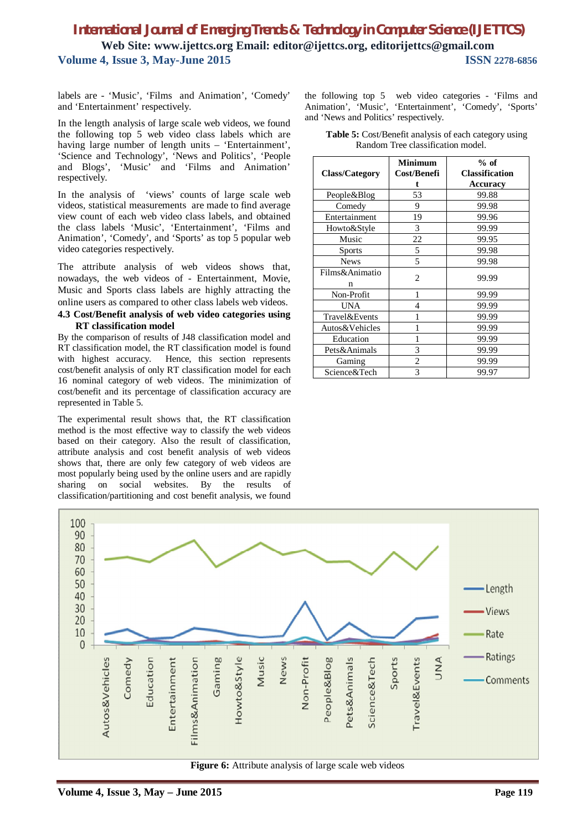labels are - 'Music', 'Films and Animation', 'Comedy' and 'Entertainment' respectively.

In the length analysis of large scale web videos, we found the following top 5 web video class labels which are having large number of length units – 'Entertainment', 'Science and Technology', 'News and Politics', 'People and Blogs', 'Music' and 'Films and Animation' respectively.

In the analysis of 'views' counts of large scale web videos, statistical measurements are made to find average view count of each web video class labels, and obtained the class labels 'Music', 'Entertainment', 'Films and Animation', 'Comedy', and 'Sports' as top 5 popular web video categories respectively.

The attribute analysis of web videos shows that, nowadays, the web videos of - Entertainment, Movie, Music and Sports class labels are highly attracting the online users as compared to other class labels web videos.

#### **4.3 Cost/Benefit analysis of web video categories using RT classification model**

By the comparison of results of J48 classification model and RT classification model, the RT classification model is found with highest accuracy. Hence, this section represents cost/benefit analysis of only RT classification model for each 16 nominal category of web videos. The minimization of cost/benefit and its percentage of classification accuracy are represented in Table 5.

The experimental result shows that, the RT classification method is the most effective way to classify the web videos based on their category. Also the result of classification, attribute analysis and cost benefit analysis of web videos shows that, there are only few category of web videos are most popularly being used by the online users and are rapidly sharing on social websites. By the results of classification/partitioning and cost benefit analysis, we found

the following top 5 web video categories - 'Films and Animation', 'Music', 'Entertainment', 'Comedy', 'Sports' and 'News and Politics' respectively.

| <b>Class/Category</b> | <b>Minimum</b><br>Cost/Benefi | $%$ of<br><b>Classification</b><br>Accuracy |  |  |  |  |
|-----------------------|-------------------------------|---------------------------------------------|--|--|--|--|
| People&Blog           | 53                            | 99.88                                       |  |  |  |  |
| Comedy                | 9                             | 99.98                                       |  |  |  |  |
| Entertainment         | 19                            | 99.96                                       |  |  |  |  |
| Howto&Style           | 3                             | 99.99                                       |  |  |  |  |
| Music                 | 22                            | 99.95                                       |  |  |  |  |
| <b>Sports</b>         | 5                             | 99.98                                       |  |  |  |  |
| <b>News</b>           | 5                             | 99.98                                       |  |  |  |  |
| Films&Animatio<br>n   | $\overline{c}$                | 99.99                                       |  |  |  |  |
| Non-Profit            | 1                             | 99.99                                       |  |  |  |  |
| UNA                   | 4                             | 99.99                                       |  |  |  |  |
| Travel&Events         | 1                             | 99.99                                       |  |  |  |  |
| Autos&Vehicles        |                               | 99.99                                       |  |  |  |  |
| Education             |                               | 99.99                                       |  |  |  |  |
| Pets&Animals          | 3                             | 99.99                                       |  |  |  |  |
| Gaming                | 2                             | 99.99                                       |  |  |  |  |
| Science&Tech          | 3                             | 99.97                                       |  |  |  |  |

**Table 5:** Cost/Benefit analysis of each category using Random Tree classification model.